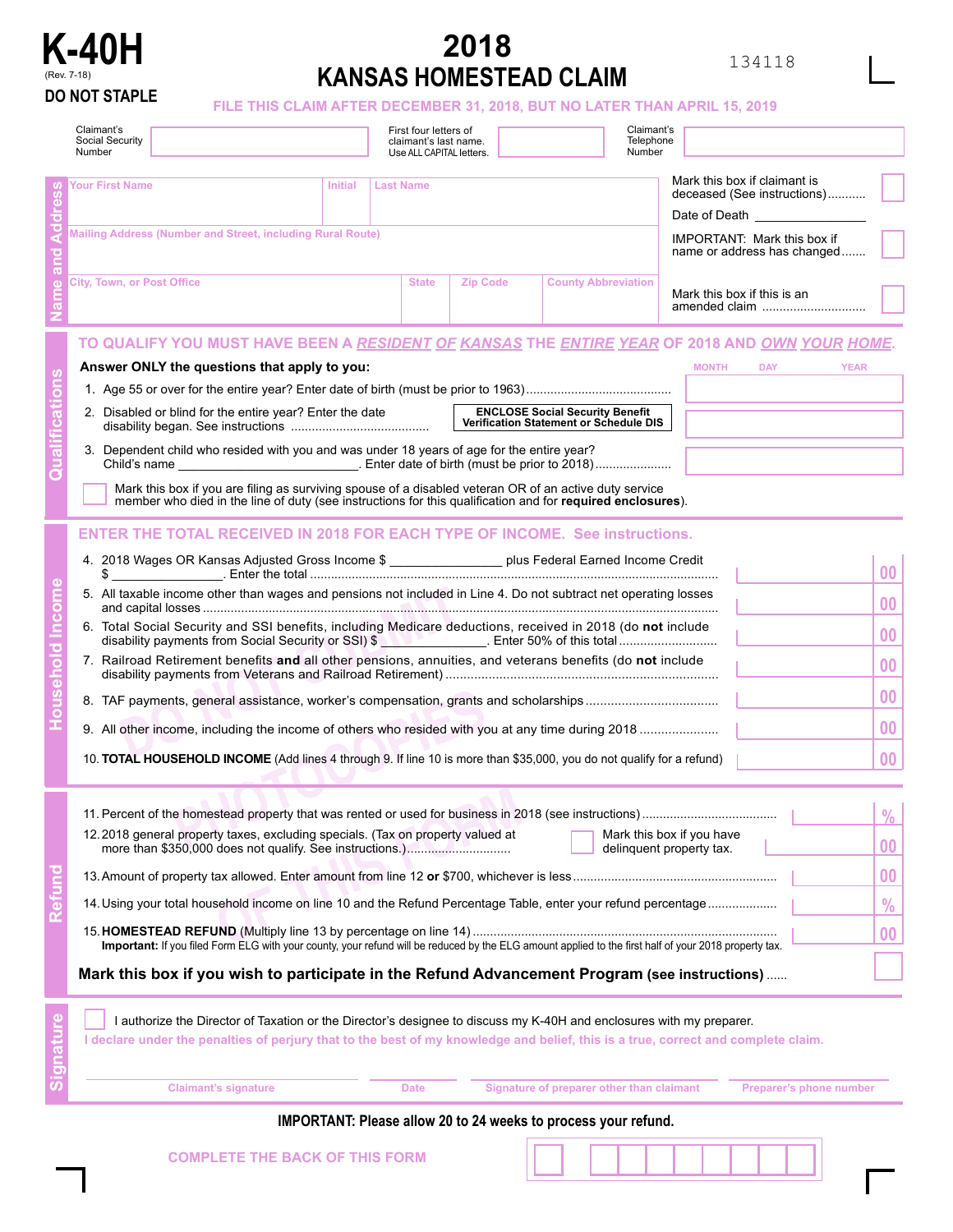

## **2018 KANSAS HOMESTEAD CLAIM**

## **DO NOT STAPLE FILE THIS CLAIM AFTER DECEMBER 31, 2018, BUT NO LATER THAN APRIL 15, 2019**

| Claimant's<br>Social Security<br>Number                                                                                                                                                                                                                                                                                                                                                                                                                                                                                                                                                                                                                                                                                   |                | First four letters of<br>claimant's last name.<br>Use ALL CAPITAL letters. |                 |                                                                                  | Claimant's<br>Telephone<br>Number                                                                                                                                          |                                                                                               |
|---------------------------------------------------------------------------------------------------------------------------------------------------------------------------------------------------------------------------------------------------------------------------------------------------------------------------------------------------------------------------------------------------------------------------------------------------------------------------------------------------------------------------------------------------------------------------------------------------------------------------------------------------------------------------------------------------------------------------|----------------|----------------------------------------------------------------------------|-----------------|----------------------------------------------------------------------------------|----------------------------------------------------------------------------------------------------------------------------------------------------------------------------|-----------------------------------------------------------------------------------------------|
| Your First Name<br>Mailing Address (Number and Street, including Rural Route)                                                                                                                                                                                                                                                                                                                                                                                                                                                                                                                                                                                                                                             | <b>Initial</b> | <b>Last Name</b>                                                           |                 |                                                                                  | Mark this box if claimant is<br>deceased (See instructions)<br>Date of Death <b>Example</b> 2014 1945<br><b>IMPORTANT: Mark this box if</b><br>name or address has changed |                                                                                               |
| <b>City, Town, or Post Office</b>                                                                                                                                                                                                                                                                                                                                                                                                                                                                                                                                                                                                                                                                                         |                | <b>State</b>                                                               | <b>Zip Code</b> | <b>County Abbreviation</b>                                                       | Mark this box if this is an<br>amended claim                                                                                                                               |                                                                                               |
| TO QUALIFY YOU MUST HAVE BEEN A <u>RESIDENT OF KANSAS</u> THE <u>ENTIRE YEAR</u> OF 2018 AND <u>OWN YOUR HOME</u> .<br>Answer ONLY the questions that apply to you:<br>2. Disabled or blind for the entire year? Enter the date<br>3. Dependent child who resided with you and was under 18 years of age for the entire year?<br>Mark this box if you are filing as surviving spouse of a disabled veteran OR of an active duty service<br>member who died in the line of duty (see instructions for this qualification and for required enclosures).                                                                                                                                                                     |                |                                                                            |                 | <b>ENCLOSE Social Security Benefit</b><br>Verification Statement or Schedule DIS | <b>MONTH</b><br><b>DAY</b><br><b>YEAR</b>                                                                                                                                  |                                                                                               |
| <b>ENTER THE TOTAL RECEIVED IN 2018 FOR EACH TYPE OF INCOME. See instructions.</b><br>4. 2018 Wages OR Kansas Adjusted Gross Income \$ __________________ plus Federal Earned Income Credit<br>5. All taxable income other than wages and pensions not included in Line 4. Do not subtract net operating losses<br>6. Total Social Security and SSI benefits, including Medicare deductions, received in 2018 (do not include<br>disability payments from Social Security or SSI) \$<br>7. Railroad Retirement benefits and all other pensions, annuities, and veterans benefits (do not include<br>10. TOTAL HOUSEHOLD INCOME (Add lines 4 through 9. If line 10 is more than \$35,000, you do not qualify for a refund) |                |                                                                            |                 |                                                                                  |                                                                                                                                                                            | 00<br>00<br>00<br>0 <sub>0</sub><br>00<br>00<br>00                                            |
| 12.2018 general property taxes, excluding specials. (Tax on property valued at<br>14. Using your total household income on line 10 and the Refund Percentage Table, enter your refund percentage<br>Important: If you filed Form ELG with your county, your refund will be reduced by the ELG amount applied to the first half of your 2018 property tax.<br>Mark this box if you wish to participate in the Refund Advancement Program (see instructions)                                                                                                                                                                                                                                                                |                |                                                                            |                 |                                                                                  | Mark this box if you have<br>delinquent property tax.                                                                                                                      | $\frac{0}{0}$<br>$\boldsymbol{00}$<br>$\boldsymbol{00}$<br>$\frac{0}{0}$<br>$\boldsymbol{00}$ |
| I authorize the Director of Taxation or the Director's designee to discuss my K-40H and enclosures with my preparer.<br>I declare under the penalties of perjury that to the best of my knowledge and belief, this is a true, correct and complete claim.<br><b>Claimant's signature</b>                                                                                                                                                                                                                                                                                                                                                                                                                                  |                | <b>Date</b>                                                                |                 | Signature of preparer other than claimant                                        | Preparer's phone number                                                                                                                                                    |                                                                                               |

## **IMPORTANT: Please allow 20 to 24 weeks to process your refund.**